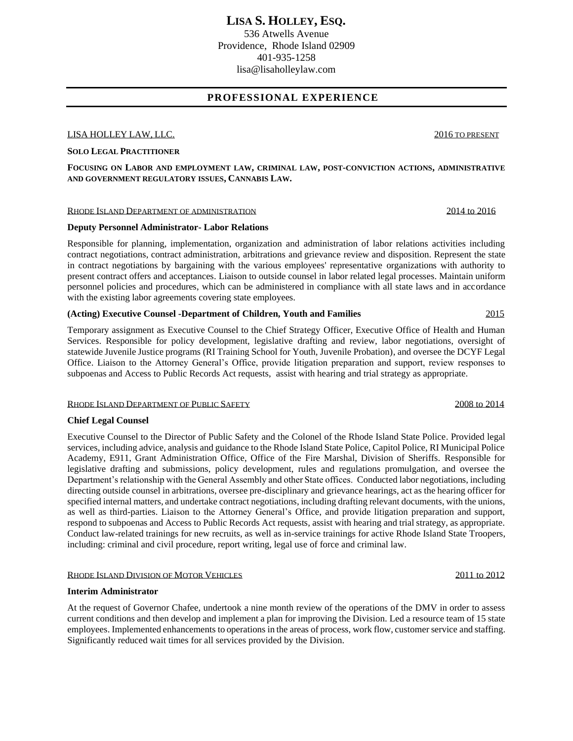536 Atwells Avenue Providence, Rhode Island 02909 401-935-1258 lisa@lisaholleylaw.com

## **PROFESSIONAL EXPERIENCE**

### LISA HOLLEY LAW, LLC. 2016 TO PRESENT

### **SOLO LEGAL PRACTITIONER**

**FOCUSING ON LABOR AND EMPLOYMENT LAW, CRIMINAL LAW, POST-CONVICTION ACTIONS, ADMINISTRATIVE AND GOVERNMENT REGULATORY ISSUES, CANNABIS LAW.**

### RHODE ISLAND DEPARTMENT OF ADMINISTRATION 2014 to 2016

### **Deputy Personnel Administrator- Labor Relations**

Responsible for planning, implementation, organization and administration of labor relations activities including contract negotiations, contract administration, arbitrations and grievance review and disposition. Represent the state in contract negotiations by bargaining with the various employees' representative organizations with authority to present contract offers and acceptances. Liaison to outside counsel in labor related legal processes. Maintain uniform personnel policies and procedures, which can be administered in compliance with all state laws and in accordance with the existing labor agreements covering state employees.

## **(Acting) Executive Counsel -Department of Children, Youth and Families** 2015

Temporary assignment as Executive Counsel to the Chief Strategy Officer, Executive Office of Health and Human Services. Responsible for policy development, legislative drafting and review, labor negotiations, oversight of statewide Juvenile Justice programs (RI Training School for Youth, Juvenile Probation), and oversee the DCYF Legal Office. Liaison to the Attorney General's Office, provide litigation preparation and support, review responses to subpoenas and Access to Public Records Act requests, assist with hearing and trial strategy as appropriate.

### RHODE ISLAND DEPARTMENT OF PUBLIC SAFETY **2008** to 2014

### **Chief Legal Counsel**

Executive Counsel to the Director of Public Safety and the Colonel of the Rhode Island State Police. Provided legal services, including advice, analysis and guidance to the Rhode Island State Police, Capitol Police, RI Municipal Police Academy, E911, Grant Administration Office, Office of the Fire Marshal, Division of Sheriffs. Responsible for legislative drafting and submissions, policy development, rules and regulations promulgation, and oversee the Department's relationship with the General Assembly and other State offices. Conducted labor negotiations, including directing outside counsel in arbitrations, oversee pre-disciplinary and grievance hearings, act as the hearing officer for specified internal matters, and undertake contract negotiations, including drafting relevant documents, with the unions, as well as third-parties. Liaison to the Attorney General's Office, and provide litigation preparation and support, respond to subpoenas and Access to Public Records Act requests, assist with hearing and trial strategy, as appropriate. Conduct law-related trainings for new recruits, as well as in-service trainings for active Rhode Island State Troopers, including: criminal and civil procedure, report writing, legal use of force and criminal law.

### RHODE ISLAND DIVISION OF MOTOR VEHICLES 2011 to 2012

### **Interim Administrator**

At the request of Governor Chafee, undertook a nine month review of the operations of the DMV in order to assess current conditions and then develop and implement a plan for improving the Division. Led a resource team of 15 state employees. Implemented enhancements to operations in the areas of process, work flow, customer service and staffing. Significantly reduced wait times for all services provided by the Division.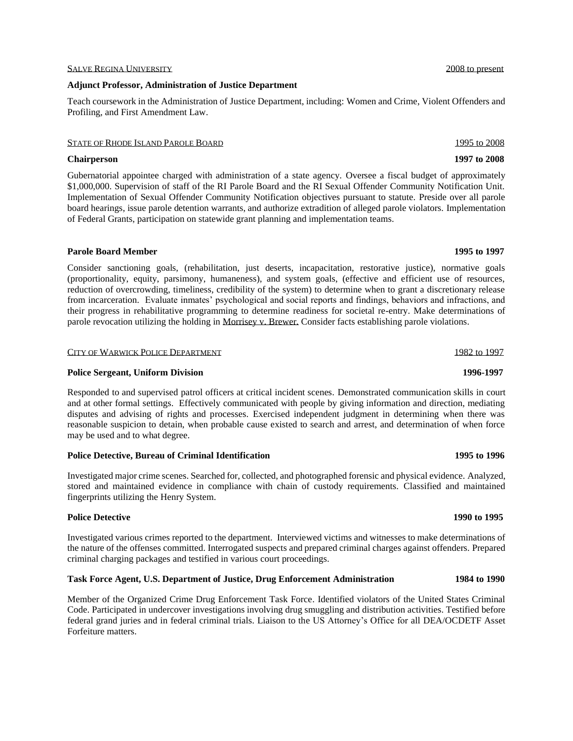## SALVE REGINA UNIVERSITY 2008 to present

## **Adjunct Professor, Administration of Justice Department**

Teach coursework in the Administration of Justice Department, including: Women and Crime, Violent Offenders and Profiling, and First Amendment Law.

## STATE OF RHODE ISLAND PAROLE BOARD 1995 to 2008

## **Chairperson 1997 to 2008**

Gubernatorial appointee charged with administration of a state agency. Oversee a fiscal budget of approximately \$1,000,000. Supervision of staff of the RI Parole Board and the RI Sexual Offender Community Notification Unit. Implementation of Sexual Offender Community Notification objectives pursuant to statute. Preside over all parole board hearings, issue parole detention warrants, and authorize extradition of alleged parole violators. Implementation of Federal Grants, participation on statewide grant planning and implementation teams.

## **Parole Board Member 1995 to 1997**

Consider sanctioning goals, (rehabilitation, just deserts, incapacitation, restorative justice), normative goals (proportionality, equity, parsimony, humaneness), and system goals, (effective and efficient use of resources, reduction of overcrowding, timeliness, credibility of the system) to determine when to grant a discretionary release from incarceration. Evaluate inmates' psychological and social reports and findings, behaviors and infractions, and their progress in rehabilitative programming to determine readiness for societal re-entry. Make determinations of parole revocation utilizing the holding in Morrisey v. Brewer. Consider facts establishing parole violations.

## CITY OF WARWICK POLICE DEPARTMENT 1982 to 1997

## **Police Sergeant, Uniform Division 1996-1997**

Responded to and supervised patrol officers at critical incident scenes. Demonstrated communication skills in court and at other formal settings. Effectively communicated with people by giving information and direction, mediating disputes and advising of rights and processes. Exercised independent judgment in determining when there was reasonable suspicion to detain, when probable cause existed to search and arrest, and determination of when force may be used and to what degree.

## **Police Detective, Bureau of Criminal Identification 1995 to 1996**

Investigated major crime scenes. Searched for, collected, and photographed forensic and physical evidence. Analyzed, stored and maintained evidence in compliance with chain of custody requirements. Classified and maintained fingerprints utilizing the Henry System.

# **Police Detective 1990 to 1995**

Investigated various crimes reported to the department. Interviewed victims and witnesses to make determinations of the nature of the offenses committed. Interrogated suspects and prepared criminal charges against offenders. Prepared criminal charging packages and testified in various court proceedings.

## **Task Force Agent, U.S. Department of Justice, Drug Enforcement Administration 1984 to 1990**

Member of the Organized Crime Drug Enforcement Task Force. Identified violators of the United States Criminal Code. Participated in undercover investigations involving drug smuggling and distribution activities. Testified before federal grand juries and in federal criminal trials. Liaison to the US Attorney's Office for all DEA/OCDETF Asset Forfeiture matters.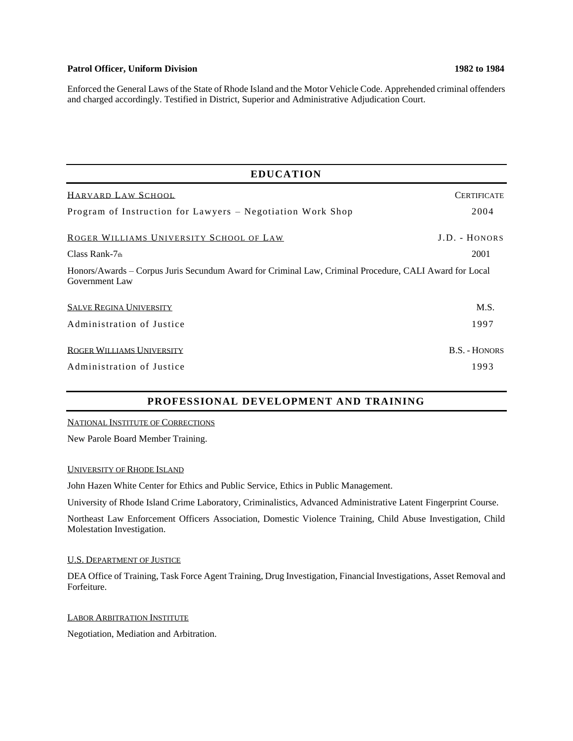## Patrol Officer, Uniform Division 1982 to 1984

Enforced the General Laws of the State of Rhode Island and the Motor Vehicle Code. Apprehended criminal offenders and charged accordingly. Testified in District, Superior and Administrative Adjudication Court.

| <b>EDUCATION</b>                                                                                                         |                    |
|--------------------------------------------------------------------------------------------------------------------------|--------------------|
| HARVARD LAW SCHOOL                                                                                                       | <b>CERTIFICATE</b> |
| Program of Instruction for Lawyers - Negotiation Work Shop                                                               | 2004               |
| ROGER WILLIAMS UNIVERSITY SCHOOL OF LAW                                                                                  | J.D. - HONORS      |
| Class Rank- $7th$                                                                                                        | 2001               |
| Honors/Awards – Corpus Juris Secundum Award for Criminal Law, Criminal Procedure, CALI Award for Local<br>Government Law |                    |
| <b>SALVE REGINA UNIVERSITY</b>                                                                                           | M.S.               |
| Administration of Justice                                                                                                | 1997               |
| ROGER WILLIAMS UNIVERSITY                                                                                                | B.S. - HONORS      |
| Administration of Justice                                                                                                | 1993               |

# **PROFESSIONAL DEVELOPMENT AND TRAINING**

NATIONAL INSTITUTE OF CORRECTIONS

New Parole Board Member Training.

UNIVERSITY OF RHODE ISLAND

John Hazen White Center for Ethics and Public Service, Ethics in Public Management.

University of Rhode Island Crime Laboratory, Criminalistics, Advanced Administrative Latent Fingerprint Course.

Northeast Law Enforcement Officers Association, Domestic Violence Training, Child Abuse Investigation, Child Molestation Investigation.

### U.S. DEPARTMENT OF JUSTICE

DEA Office of Training, Task Force Agent Training, Drug Investigation, Financial Investigations, Asset Removal and Forfeiture.

LABOR ARBITRATION INSTITUTE

Negotiation, Mediation and Arbitration.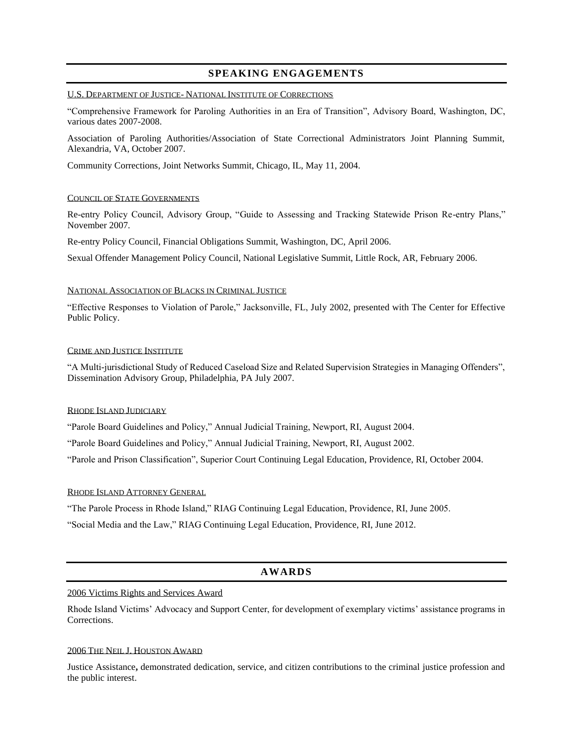## **SPEAKING ENGAGEMENTS**

## U.S. DEPARTMENT OF JUSTICE- NATIONAL INSTITUTE OF CORRECTIONS

"Comprehensive Framework for Paroling Authorities in an Era of Transition", Advisory Board, Washington, DC, various dates 2007-2008.

Association of Paroling Authorities/Association of State Correctional Administrators Joint Planning Summit, Alexandria, VA, October 2007.

Community Corrections, Joint Networks Summit, Chicago, IL, May 11, 2004.

### COUNCIL OF STATE GOVERNMENTS

Re-entry Policy Council, Advisory Group, "Guide to Assessing and Tracking Statewide Prison Re-entry Plans," November 2007.

Re-entry Policy Council, Financial Obligations Summit, Washington, DC, April 2006.

Sexual Offender Management Policy Council, National Legislative Summit, Little Rock, AR, February 2006.

### NATIONAL ASSOCIATION OF BLACKS IN CRIMINAL JUSTICE

"Effective Responses to Violation of Parole," Jacksonville, FL, July 2002, presented with The Center for Effective Public Policy.

### CRIME AND JUSTICE INSTITUTE

"A Multi-jurisdictional Study of Reduced Caseload Size and Related Supervision Strategies in Managing Offenders", Dissemination Advisory Group, Philadelphia, PA July 2007.

### RHODE ISLAND JUDICIARY

"Parole Board Guidelines and Policy," Annual Judicial Training, Newport, RI, August 2004.

"Parole Board Guidelines and Policy," Annual Judicial Training, Newport, RI, August 2002.

"Parole and Prison Classification", Superior Court Continuing Legal Education, Providence, RI, October 2004.

## RHODE ISLAND ATTORNEY GENERAL

"The Parole Process in Rhode Island," RIAG Continuing Legal Education, Providence, RI, June 2005.

"Social Media and the Law," RIAG Continuing Legal Education, Providence, RI, June 2012.

## **AWARDS**

## 2006 Victims Rights and Services Award

Rhode Island Victims' Advocacy and Support Center, for development of exemplary victims' assistance programs in Corrections.

### 2006 THE NEIL J. HOUSTON AWARD

Justice Assistance**,** demonstrated dedication, service, and citizen contributions to the criminal justice profession and the public interest.